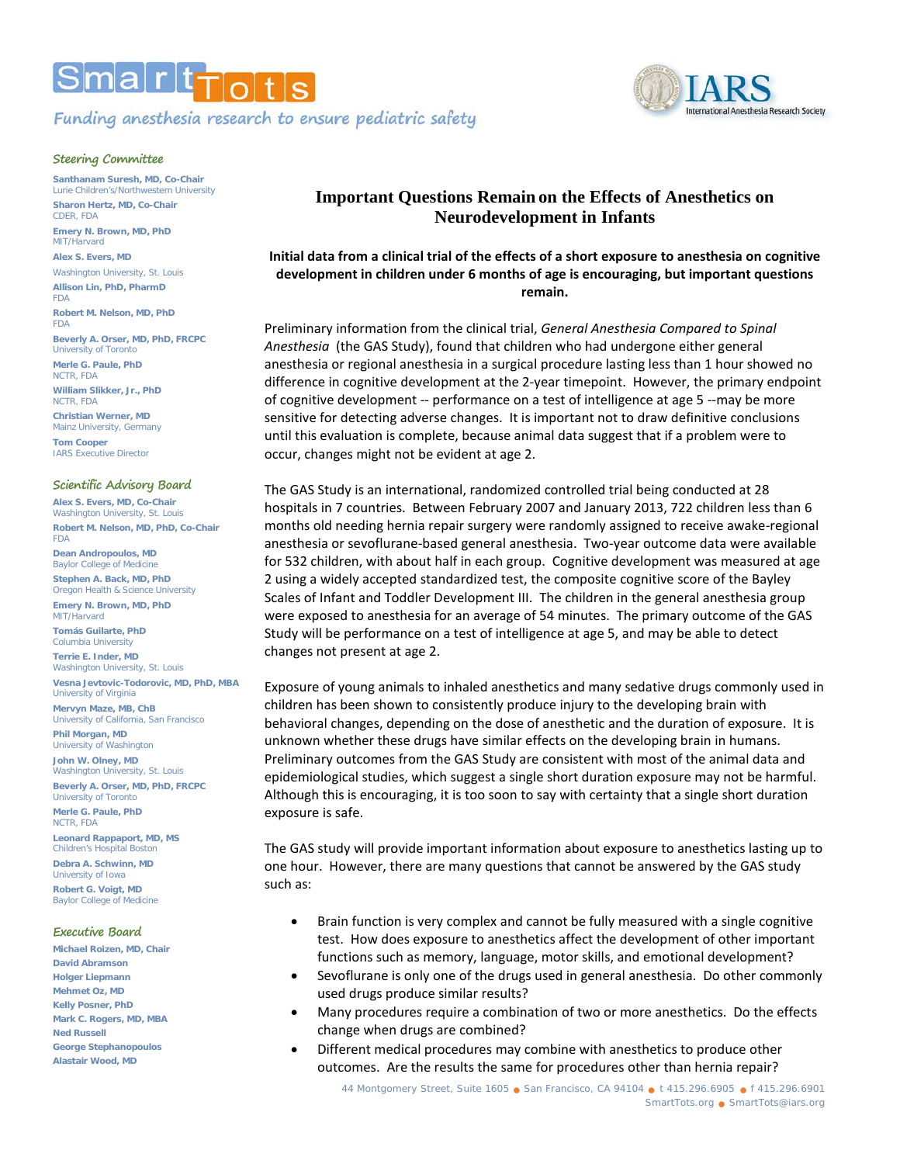



**Santhanam Suresh, MD, Co-Chair**  Lurie Children's/Northwestern University **Sharon Hertz, MD, Co-Chair** CDER, FDA **Emery N. Brown, MD, PhD**  MIT/Harvard **Alex S. Evers, MD**  Washington University, St. Louis **Allison Lin, PhD, PharmD** FDA **Robert M. Nelson, MD, PhD**  FDA **Beverly A. Orser, MD, PhD, FRCPC** University of Toronto **Merle G. Paule, PhD**  NCTR, FDA **William Slikker, Jr., PhD**  NCTR, FDA

**Christian Werner, MD**  Mainz University, Germany **Tom Cooper**  IARS Executive Director

## **Scientific Advisory Board**

**Alex S. Evers, MD, Co-Chair**  Washington University, St. Louis **Robert M. Nelson, MD, PhD, Co-Chair**  FDA **Dean Andropoulos, MD** Baylor College of Medicine **Stephen A. Back, MD, PhD**  Oregon Health & Science University **Emery N. Brown, MD, PhD**  MIT/Harvard **Tomás Guilarte, PhD**  Columbia University **Terrie E. Inder, MD**  Washington University, St. Louis

**Vesna Jevtovic-Todorovic, MD, PhD, MBA**  University of Virginia **Mervyn Maze, MB, ChB** 

University of California, San Francisco **Phil Morgan, MD**  University of Washington

**John W. Olney, MD**  Washington University, St. Louis **Beverly A. Orser, MD, PhD, FRCPC**

University of Toronto **Merle G. Paule, PhD**  NCTR, FDA

**Leonard Rappaport, MD, MS**  Children's Hospital Boston

**Debra A. Schwinn, MD**  University of Iowa **Robert G. Voigt, MD**  Baylor College of Medicine

## **Executive Board**

**Michael Roizen, MD, Chair David Abramson Holger Liepmann Mehmet Oz, MD Kelly Posner, PhD Mark C. Rogers, MD, MBA Ned Russell George Stephanopoulos Alastair Wood, MD**

## **Important Questions Remain on the Effects of Anesthetics on Neurodevelopment in Infants**

**Initial data from a clinical trial of the effects of a short exposure to anesthesia on cognitive development in children under 6 months of age is encouraging, but important questions remain.** 

Preliminary information from the clinical trial, *General Anesthesia Compared to Spinal Anesthesia* (the GAS Study), found that children who had undergone either general anesthesia or regional anesthesia in a surgical procedure lasting less than 1 hour showed no difference in cognitive development at the 2-year timepoint. However, the primary endpoint of cognitive development -- performance on a test of intelligence at age 5 --may be more sensitive for detecting adverse changes. It is important not to draw definitive conclusions until this evaluation is complete, because animal data suggest that if a problem were to occur, changes might not be evident at age 2.

The GAS Study is an international, randomized controlled trial being conducted at 28 hospitals in 7 countries. Between February 2007 and January 2013, 722 children less than 6 months old needing hernia repair surgery were randomly assigned to receive awake-regional anesthesia or sevoflurane-based general anesthesia. Two-year outcome data were available for 532 children, with about half in each group. Cognitive development was measured at age 2 using a widely accepted standardized test, the composite cognitive score of the Bayley Scales of Infant and Toddler Development III. The children in the general anesthesia group were exposed to anesthesia for an average of 54 minutes. The primary outcome of the GAS Study will be performance on a test of intelligence at age 5, and may be able to detect changes not present at age 2.

Exposure of young animals to inhaled anesthetics and many sedative drugs commonly used in children has been shown to consistently produce injury to the developing brain with behavioral changes, depending on the dose of anesthetic and the duration of exposure. It is unknown whether these drugs have similar effects on the developing brain in humans. Preliminary outcomes from the GAS Study are consistent with most of the animal data and epidemiological studies, which suggest a single short duration exposure may not be harmful. Although this is encouraging, it is too soon to say with certainty that a single short duration exposure is safe.

The GAS study will provide important information about exposure to anesthetics lasting up to one hour. However, there are many questions that cannot be answered by the GAS study such as:

- Brain function is very complex and cannot be fully measured with a single cognitive test. How does exposure to anesthetics affect the development of other important functions such as memory, language, motor skills, and emotional development?
- Sevoflurane is only one of the drugs used in general anesthesia. Do other commonly used drugs produce similar results?
- Many procedures require a combination of two or more anesthetics. Do the effects change when drugs are combined?
- Different medical procedures may combine with anesthetics to produce other outcomes. Are the results the same for procedures other than hernia repair?